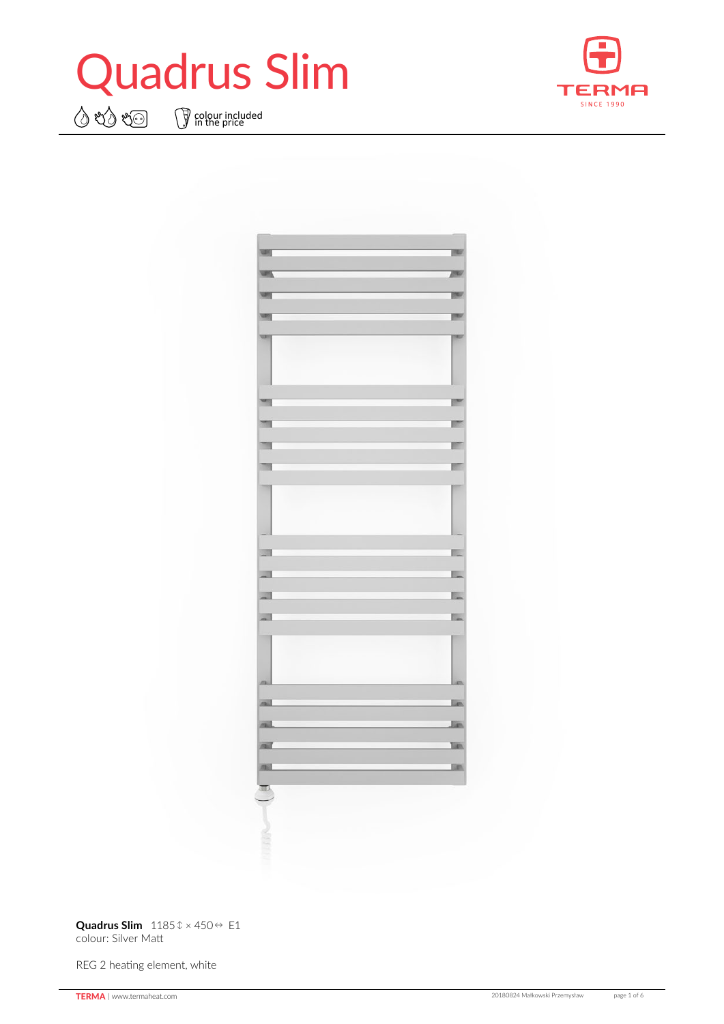

**TERMA SINCE 1990** 



**Quadrus Slim** 1185 ↕ × 450 ↔ E1 colour: Silver Matt

REG 2 heating element, white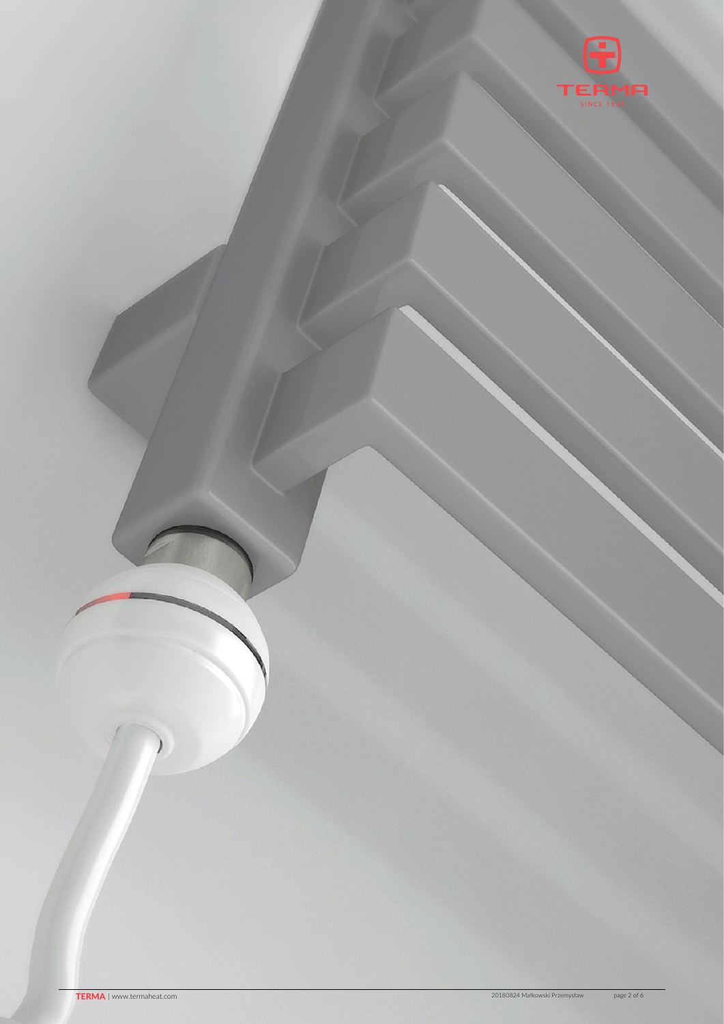

Quadrus Slim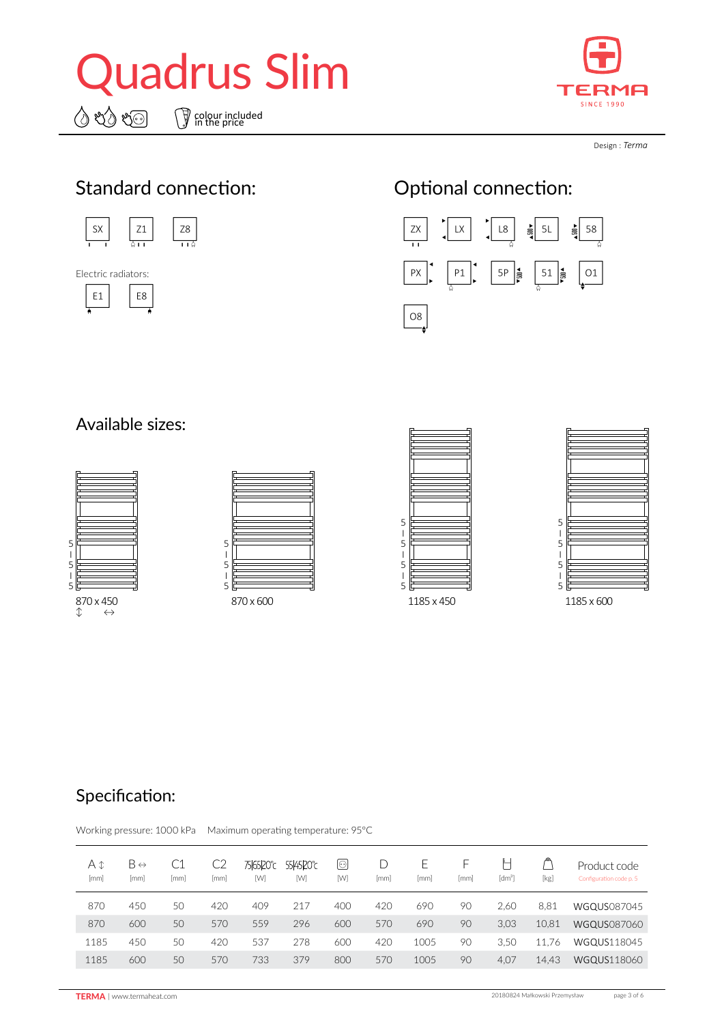



Design : *Terma*

# Standard connection:





# Optional connection:



#### Available sizes:









## Specification:

Working pressure: 1000 kPa Maximum operating temperature: 95°C

| А¢<br>[mm] | $B \leftrightarrow$<br>[mm] | [mm] | C2<br>[mm] | 756520°C<br>ΙWΙ | 55 45 20°C<br><b>M</b> | ◉<br>M | D<br>[mm] | Е<br>[mm] | F.<br>[mm] | Н<br>[dm <sup>3</sup> ] | [kg]  | Product code<br>Configuration code p. 5 |
|------------|-----------------------------|------|------------|-----------------|------------------------|--------|-----------|-----------|------------|-------------------------|-------|-----------------------------------------|
| 870        | 450                         | 50   | 420        | 409             | 217                    | 400    | 420       | 690       | 90         | 2.60                    | 8.81  | WGQUS087045                             |
| 870        | 600                         | 50   | 570        | 559             | 296                    | 600    | 570       | 690       | 90         | 3.03                    | 10,81 | WGQUS087060                             |
| 1185       | 450                         | 50   | 420        | 537             | 278                    | 600    | 420       | 1005      | 90         | 3,50                    | 11,76 | WGQUS118045                             |
| 1185       | 600                         | 50   | 570        | 733             | 379                    | 800    | 570       | 1005      | 90         | 4,07                    | 14,43 | WGQUS118060                             |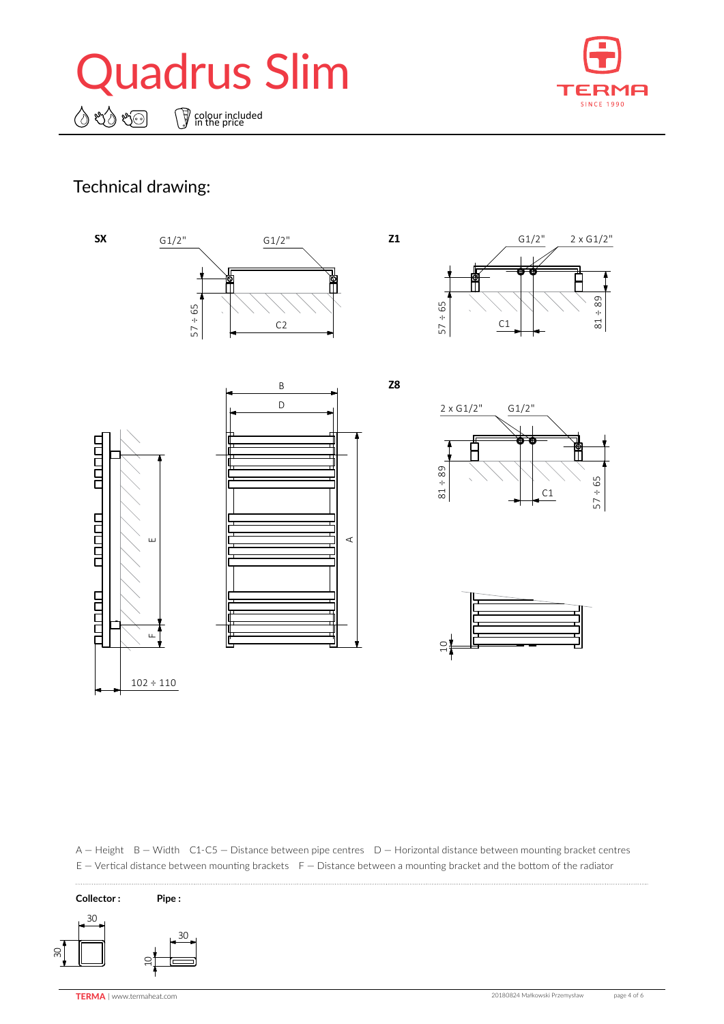



#### Technical drawing:



A — Height B — Width C1-C5 — Distance between pipe centres D — Horizontal distance between mounting bracket centres E – Vertical distance between mounting brackets F – Distance between a mounting bracket and the bottom of the radiator<br>



 $\mathbf{r}$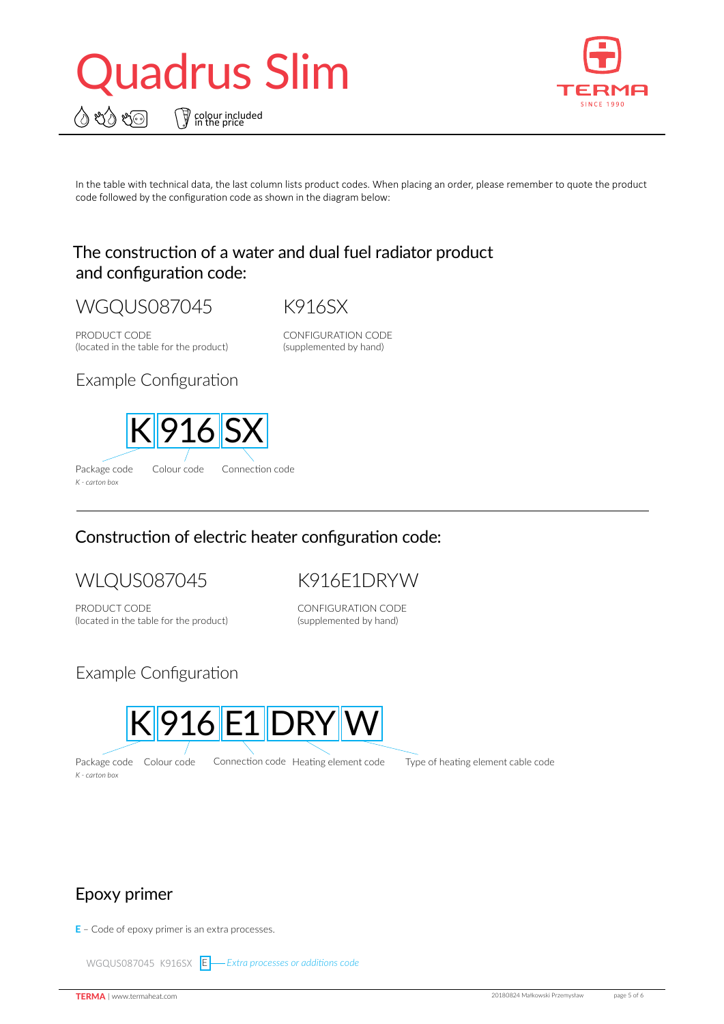

**Contract** colour included in the price

In the table with technical data, the last column lists product codes. When placing an order, please remember to quote the product code followed by the configuration code as shown in the diagram below:

#### The construction of a water and dual fuel radiator product and configuration code:

WGQUS087045

 $\mathbb{P}^{\mathbb{P}}(\mathbb{P}^{\mathbb{P}})$  ,  $\mathbb{P}^{\mathbb{P}}(\mathbb{P}^{\mathbb{P}})$ 

K916SX

PRODUCT CODE (located in the table for the product) CONFIGURATION CODE (supplemented by hand)

Example Configuration



#### <span id="page-4-0"></span>Construction of electric heater configuration code:

WLQUS087045

K916E1DRYW

PRODUCT CODE (located in the table for the product) CONFIGURATION CODE (supplemented by hand)

Example Configuration



Package code Colour code *K - carton box*

Connection code Heating element code Type of heating element cable code

## Epoxy primer

**E** – Code of epoxy primer is an extra processes.

WGQUS087045 K916SX E *Extra processes or additions code*